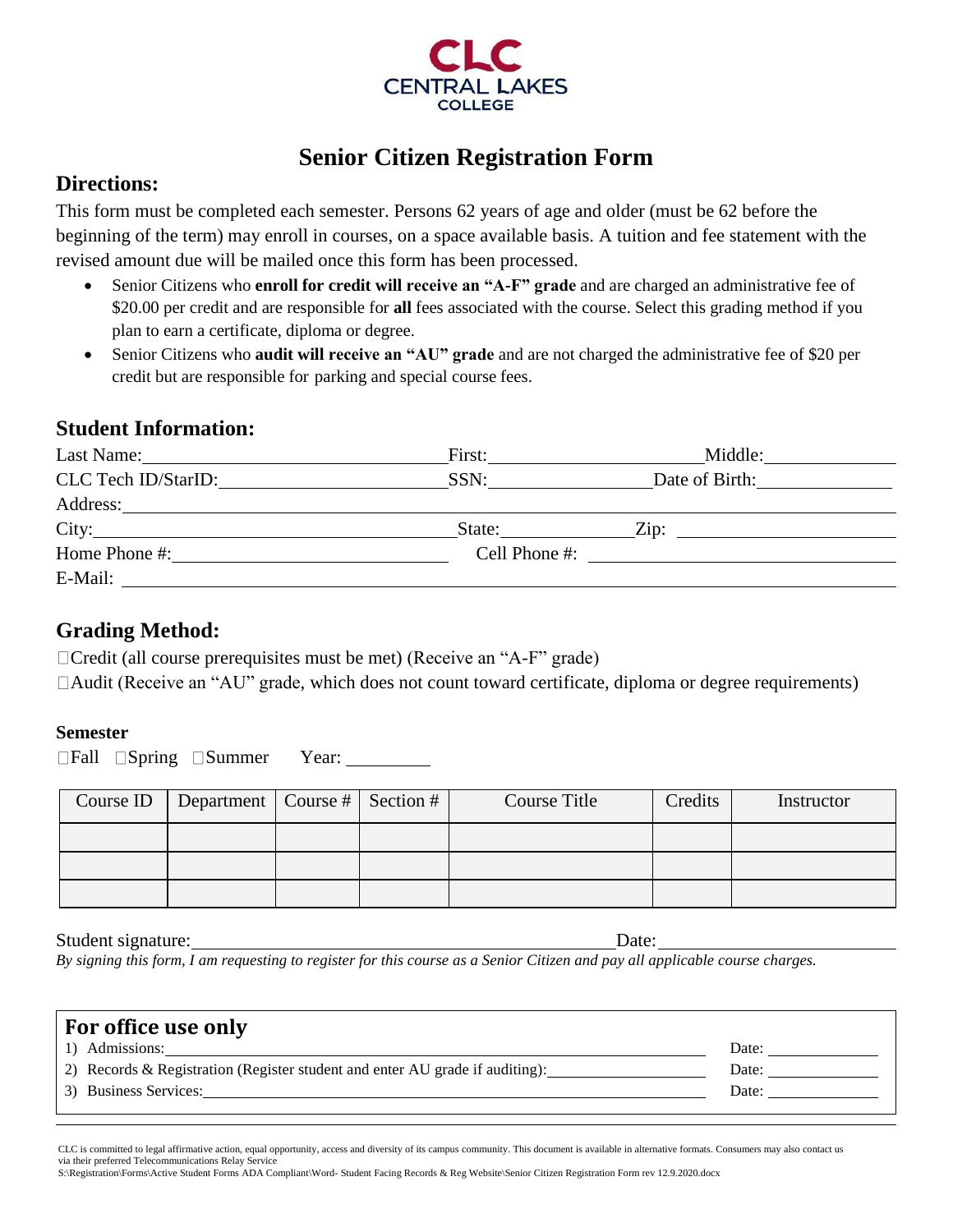

# **Senior Citizen Registration Form**

## **Directions:**

This form must be completed each semester. Persons 62 years of age and older (must be 62 before the beginning of the term) may enroll in courses, on a space available basis. A tuition and fee statement with the revised amount due will be mailed once this form has been processed.

- Senior Citizens who **enroll for credit will receive an "A-F" grade** and are charged an administrative fee of \$20.00 per credit and are responsible for **all** fees associated with the course. Select this grading method if you plan to earn a certificate, diploma or degree.
- Senior Citizens who **audit will receive an "AU" grade** and are not charged the administrative fee of \$20 per credit but are responsible for parking and special course fees.

### **Student Information:**

| Last Name:<br><u> 1980 - Jan Stein Stein Stein Stein Stein Stein Stein Stein Stein Stein Stein Stein Stein Stein Stein Stein S</u> | First: | Middle:                              |
|------------------------------------------------------------------------------------------------------------------------------------|--------|--------------------------------------|
| CLC Tech ID/StarID:                                                                                                                | SSN:   | Date of Birth:                       |
|                                                                                                                                    |        |                                      |
| City:                                                                                                                              | State: | $\chi$ Zip:                          |
| Home Phone #:                                                                                                                      |        | Cell Phone #: $\qquad \qquad \qquad$ |
| E-Mail:                                                                                                                            |        |                                      |

## **Grading Method:**

 $\Box$ Credit (all course prerequisites must be met) (Receive an "A-F" grade)

Audit (Receive an "AU" grade, which does not count toward certificate, diploma or degree requirements)

### **Semester**

□Fall □Spring □Summer Year: \_\_\_\_\_\_\_\_

| Course ID | Department   Course #   Section # |  | <b>Course Title</b> | Credits | Instructor |
|-----------|-----------------------------------|--|---------------------|---------|------------|
|           |                                   |  |                     |         |            |
|           |                                   |  |                     |         |            |
|           |                                   |  |                     |         |            |

#### Student signature: Date: Date:

*By signing this form, I am requesting to register for this course as a Senior Citizen and pay all applicable course charges.*

| For office use only                                                          |       |
|------------------------------------------------------------------------------|-------|
| 1) Admissions:                                                               | Date: |
| 2) Records & Registration (Register student and enter AU grade if auditing): | Date: |
| 3) Business Services:                                                        | Date: |
|                                                                              |       |

S:\Registration\Forms\Active Student Forms ADA Compliant\Word- Student Facing Records & Reg Website\Senior Citizen Registration Form rev 12.9.2020.docx

CLC is committed to legal affirmative action, equal opportunity, access and diversity of its campus community. This document is available in alternative formats. Consumers may also contact us via their preferred Telecommunications Relay Service